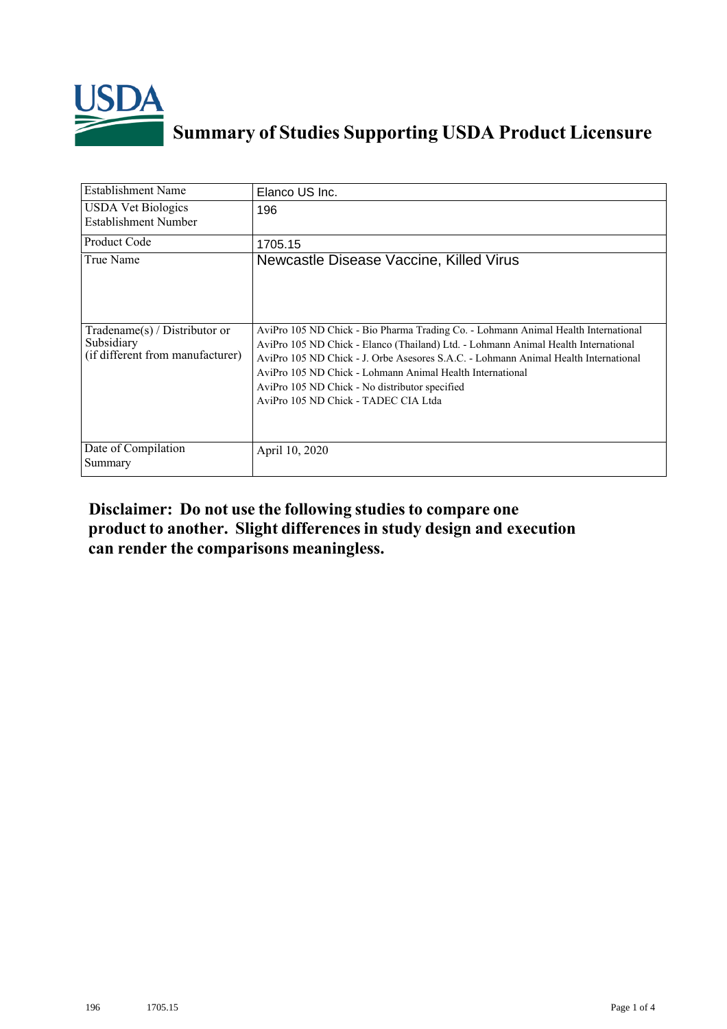

## **Summary of Studies Supporting USDA Product Licensure**

| <b>Establishment Name</b>                                                          | Elanco US Inc.                                                                                                                                                                                                                                                                                                                                                                                                         |
|------------------------------------------------------------------------------------|------------------------------------------------------------------------------------------------------------------------------------------------------------------------------------------------------------------------------------------------------------------------------------------------------------------------------------------------------------------------------------------------------------------------|
| <b>USDA Vet Biologics</b><br>Establishment Number                                  | 196                                                                                                                                                                                                                                                                                                                                                                                                                    |
| <b>Product Code</b>                                                                | 1705.15                                                                                                                                                                                                                                                                                                                                                                                                                |
| True Name                                                                          | Newcastle Disease Vaccine, Killed Virus                                                                                                                                                                                                                                                                                                                                                                                |
| Tradename $(s)$ / Distributor or<br>Subsidiary<br>(if different from manufacturer) | AviPro 105 ND Chick - Bio Pharma Trading Co. - Lohmann Animal Health International<br>AviPro 105 ND Chick - Elanco (Thailand) Ltd. - Lohmann Animal Health International<br>AviPro 105 ND Chick - J. Orbe Asesores S.A.C. - Lohmann Animal Health International<br>AviPro 105 ND Chick - Lohmann Animal Health International<br>AviPro 105 ND Chick - No distributor specified<br>AviPro 105 ND Chick - TADEC CIA Ltda |
| Date of Compilation<br>Summary                                                     | April 10, 2020                                                                                                                                                                                                                                                                                                                                                                                                         |

## **Disclaimer: Do not use the following studiesto compare one product to another. Slight differencesin study design and execution can render the comparisons meaningless.**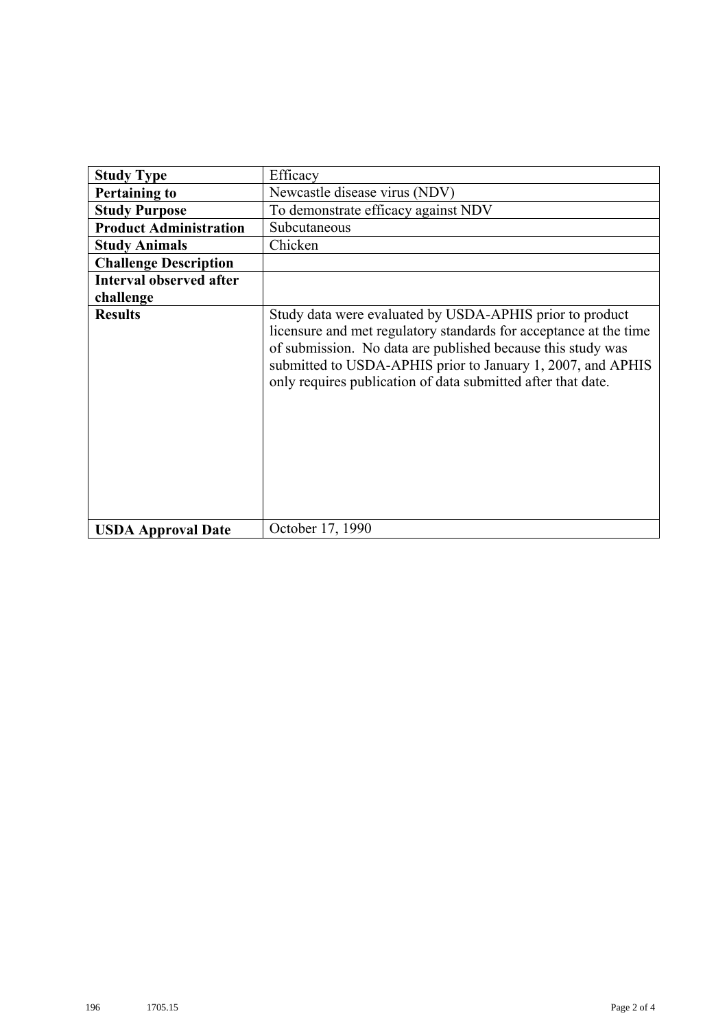| <b>Study Type</b>              | Efficacy                                                                                                                                                                                                                                                                                                                    |
|--------------------------------|-----------------------------------------------------------------------------------------------------------------------------------------------------------------------------------------------------------------------------------------------------------------------------------------------------------------------------|
| <b>Pertaining to</b>           | Newcastle disease virus (NDV)                                                                                                                                                                                                                                                                                               |
| <b>Study Purpose</b>           | To demonstrate efficacy against NDV                                                                                                                                                                                                                                                                                         |
| <b>Product Administration</b>  | Subcutaneous                                                                                                                                                                                                                                                                                                                |
| <b>Study Animals</b>           | Chicken                                                                                                                                                                                                                                                                                                                     |
| <b>Challenge Description</b>   |                                                                                                                                                                                                                                                                                                                             |
| <b>Interval observed after</b> |                                                                                                                                                                                                                                                                                                                             |
| challenge                      |                                                                                                                                                                                                                                                                                                                             |
| <b>Results</b>                 | Study data were evaluated by USDA-APHIS prior to product<br>licensure and met regulatory standards for acceptance at the time<br>of submission. No data are published because this study was<br>submitted to USDA-APHIS prior to January 1, 2007, and APHIS<br>only requires publication of data submitted after that date. |
| <b>USDA Approval Date</b>      | October 17, 1990                                                                                                                                                                                                                                                                                                            |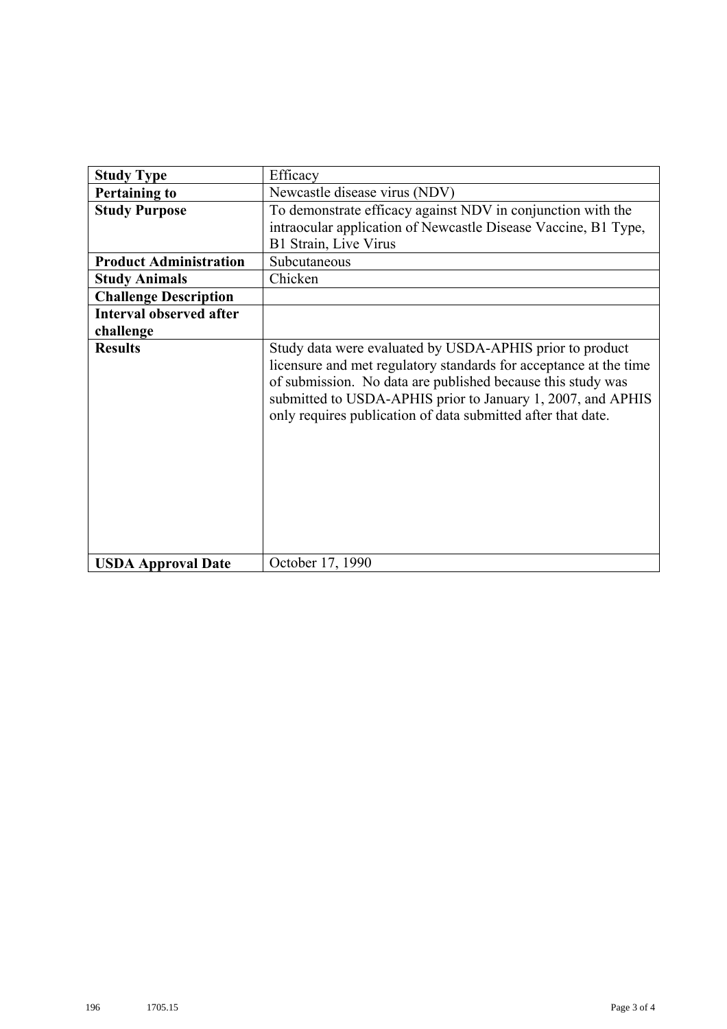| <b>Study Type</b>              | Efficacy                                                                                                                                                                                                                                                                                                                    |
|--------------------------------|-----------------------------------------------------------------------------------------------------------------------------------------------------------------------------------------------------------------------------------------------------------------------------------------------------------------------------|
| <b>Pertaining to</b>           | Newcastle disease virus (NDV)                                                                                                                                                                                                                                                                                               |
| <b>Study Purpose</b>           | To demonstrate efficacy against NDV in conjunction with the                                                                                                                                                                                                                                                                 |
|                                | intraocular application of Newcastle Disease Vaccine, B1 Type,                                                                                                                                                                                                                                                              |
|                                | B1 Strain, Live Virus                                                                                                                                                                                                                                                                                                       |
| <b>Product Administration</b>  | Subcutaneous                                                                                                                                                                                                                                                                                                                |
| <b>Study Animals</b>           | Chicken                                                                                                                                                                                                                                                                                                                     |
| <b>Challenge Description</b>   |                                                                                                                                                                                                                                                                                                                             |
| <b>Interval observed after</b> |                                                                                                                                                                                                                                                                                                                             |
| challenge                      |                                                                                                                                                                                                                                                                                                                             |
| <b>Results</b>                 | Study data were evaluated by USDA-APHIS prior to product<br>licensure and met regulatory standards for acceptance at the time<br>of submission. No data are published because this study was<br>submitted to USDA-APHIS prior to January 1, 2007, and APHIS<br>only requires publication of data submitted after that date. |
| <b>USDA Approval Date</b>      | October 17, 1990                                                                                                                                                                                                                                                                                                            |